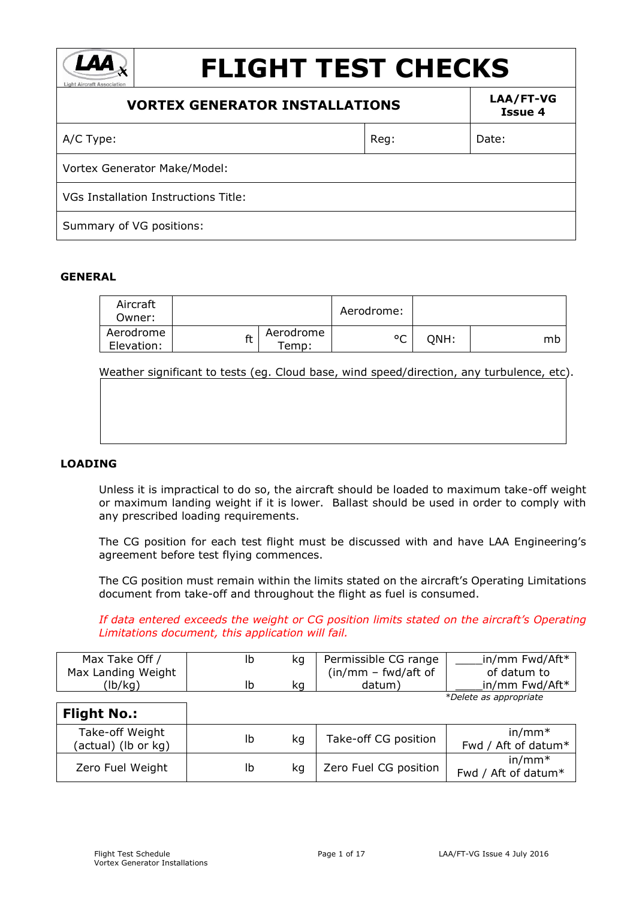| <b>FLIGHT TEST CHECKS</b><br><b>Light Aircraft Association</b> |      |                      |
|----------------------------------------------------------------|------|----------------------|
| <b>VORTEX GENERATOR INSTALLATIONS</b>                          |      | LAA/FT-VG<br>Issue 4 |
| A/C Type:                                                      | Reg: | Date:                |
| Vortex Generator Make/Model:                                   |      |                      |
| VGs Installation Instructions Title:                           |      |                      |
| Summary of VG positions:                                       |      |                      |

#### **GENERAL**

| Aircraft<br>Owner:      |    |                   | Aerodrome:   |      |    |
|-------------------------|----|-------------------|--------------|------|----|
| Aerodrome<br>Elevation: | ft | Aerodrome<br>emp: | $\circ$<br>◡ | ONH: | mb |

Weather significant to tests (eg. Cloud base, wind speed/direction, any turbulence, etc).

#### **LOADING**

Unless it is impractical to do so, the aircraft should be loaded to maximum take-off weight or maximum landing weight if it is lower. Ballast should be used in order to comply with any prescribed loading requirements.

The CG position for each test flight must be discussed with and have LAA Engineering's agreement before test flying commences.

The CG position must remain within the limits stated on the aircraft's Operating Limitations document from take-off and throughout the flight as fuel is consumed.

*If data entered exceeds the weight or CG position limits stated on the aircraft's Operating Limitations document, this application will fail.*

| Max Take Off /     | ka | Permissible CG range  | in/mm Fwd/Aft*         |
|--------------------|----|-----------------------|------------------------|
| Max Landing Weight |    | $(in/mm - fwd/aff of$ | of datum to            |
| 'lb/kg)            | kq | datum)                | in/mm Fwd/Aft*         |
|                    |    |                       | *Delete as appropriate |

| <b>Flight No.:</b>                     |    |    |                       |                                 |
|----------------------------------------|----|----|-----------------------|---------------------------------|
| Take-off Weight<br>(actual) (lb or kg) | Ib | ka | Take-off CG position  | $in/mm*$<br>Fwd / Aft of datum* |
| Zero Fuel Weight                       | Ib | ka | Zero Fuel CG position | $in/mm*$<br>Fwd / Aft of datum* |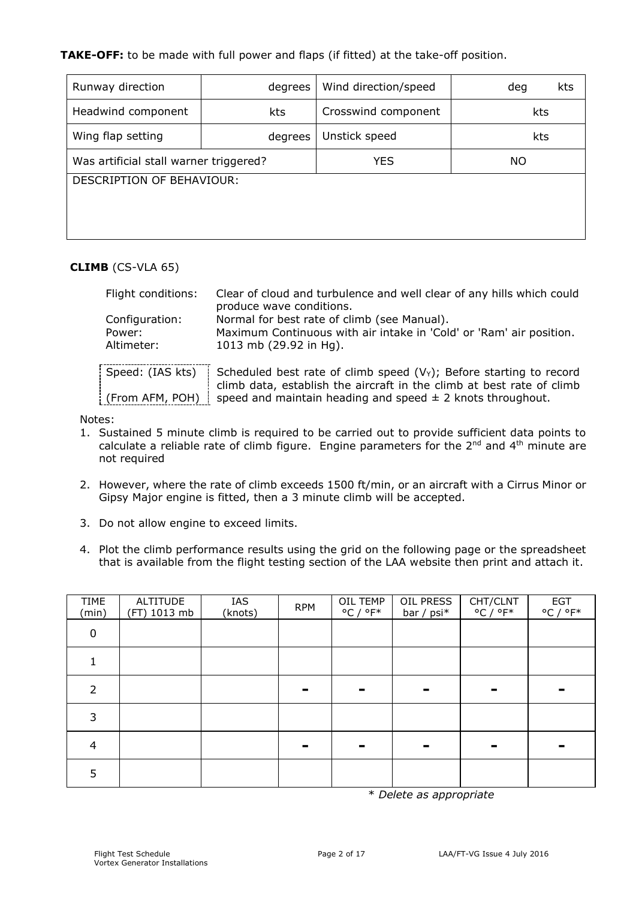## **TAKE-OFF:** to be made with full power and flaps (if fitted) at the take-off position.

| Runway direction                       | degrees | Wind direction/speed | kts<br>deg |  |
|----------------------------------------|---------|----------------------|------------|--|
| Headwind component                     | kts     | Crosswind component  | kts        |  |
| Wing flap setting<br>degrees           |         | Unstick speed        | kts        |  |
| Was artificial stall warner triggered? |         | <b>YES</b>           | NO.        |  |
| DESCRIPTION OF BEHAVIOUR:              |         |                      |            |  |
|                                        |         |                      |            |  |
|                                        |         |                      |            |  |

#### **CLIMB** (CS-VLA 65)

| Flight conditions:<br>Configuration: | Clear of cloud and turbulence and well clear of any hills which could<br>produce wave conditions.<br>Normal for best rate of climb (see Manual).<br>Maximum Continuous with air intake in 'Cold' or 'Ram' air position. |
|--------------------------------------|-------------------------------------------------------------------------------------------------------------------------------------------------------------------------------------------------------------------------|
| Power:                               |                                                                                                                                                                                                                         |
| Altimeter:                           | 1013 mb (29.92 in Hg).                                                                                                                                                                                                  |
| Speed: (IAS kts)                     | Scheduled best rate of climb speed $(VY)$ ; Before starting to record<br>climb data, establish the aircraft in the climb at best rate of climb                                                                          |

(From AFM, POH) | speed and maintain heading and speed  $\pm$  2 knots throughout.

#### Notes:

f

- 1. Sustained 5 minute climb is required to be carried out to provide sufficient data points to calculate a reliable rate of climb figure. Engine parameters for the  $2^{nd}$  and  $4^{th}$  minute are not required
- 2. However, where the rate of climb exceeds 1500 ft/min, or an aircraft with a Cirrus Minor or Gipsy Major engine is fitted, then a 3 minute climb will be accepted.
- 3. Do not allow engine to exceed limits.
- 4. Plot the climb performance results using the grid on the following page or the spreadsheet that is available from the flight testing section of the LAA website then print and attach it.

| <b>TIME</b><br>(min) | <b>ALTITUDE</b><br>(FT) 1013 mb | IAS<br>(knots) | <b>RPM</b> | OIL TEMP<br>$^{\circ}$ C / $^{\circ}$ F* | OIL PRESS<br>bar / psi* | CHT/CLNT<br>$^{\circ}$ C / $^{\circ}$ F* | <b>EGT</b><br>$^{\circ}$ C / $^{\circ}$ F* |
|----------------------|---------------------------------|----------------|------------|------------------------------------------|-------------------------|------------------------------------------|--------------------------------------------|
| $\mathbf 0$          |                                 |                |            |                                          |                         |                                          |                                            |
|                      |                                 |                |            |                                          |                         |                                          |                                            |
| $\mathcal{P}$        |                                 |                |            |                                          |                         |                                          |                                            |
| 3                    |                                 |                |            |                                          |                         |                                          |                                            |
| 4                    |                                 |                |            |                                          |                         | -                                        |                                            |
| 5                    |                                 |                |            |                                          |                         |                                          |                                            |

\* *Delete as appropriate*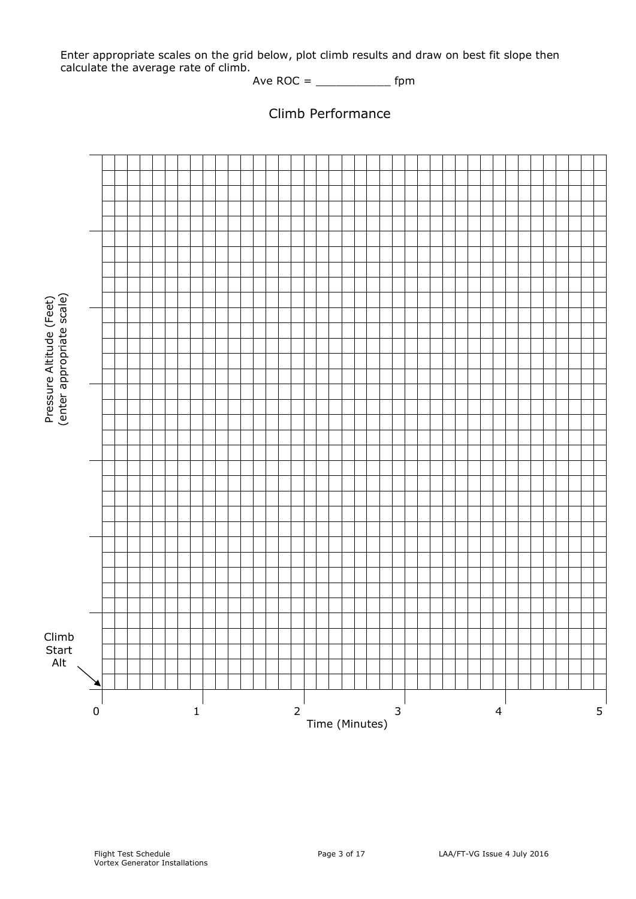Enter appropriate scales on the grid below, plot climb results and draw on best fit slope then calculate the average rate of climb.

Ave ROC = \_\_\_\_\_\_\_\_\_\_\_ fpm



Climb Performance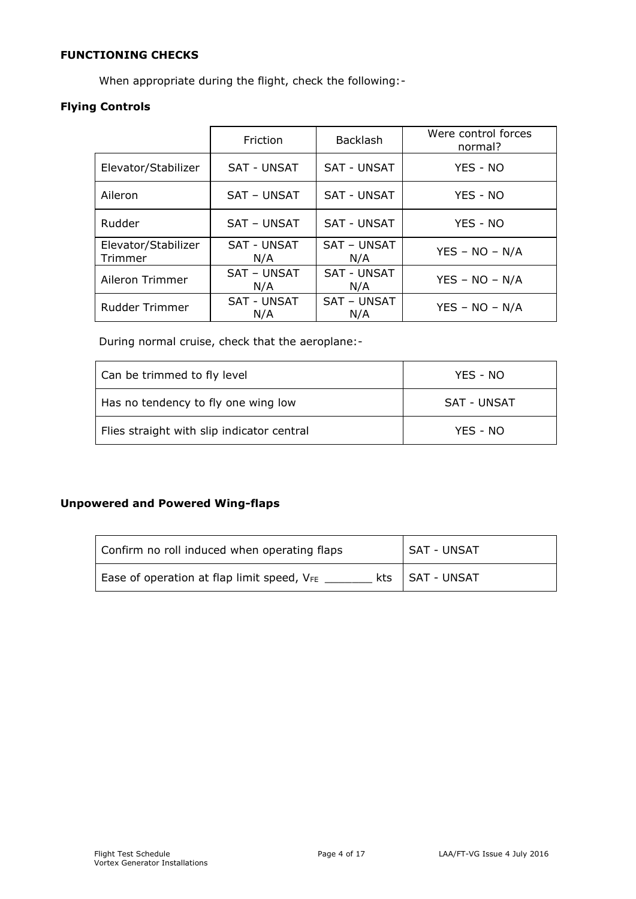# **FUNCTIONING CHECKS**

When appropriate during the flight, check the following:-

## **Flying Controls**

|                                | Friction                  | <b>Backlash</b>           | Were control forces<br>normal? |
|--------------------------------|---------------------------|---------------------------|--------------------------------|
| Elevator/Stabilizer            | <b>SAT - UNSAT</b>        | <b>SAT - UNSAT</b>        | YES - NO                       |
| Aileron                        | SAT - UNSAT               | <b>SAT - UNSAT</b>        | YES - NO                       |
| Rudder                         | <b>SAT - UNSAT</b>        | <b>SAT - UNSAT</b>        | YES - NO                       |
| Elevator/Stabilizer<br>Trimmer | <b>SAT - UNSAT</b><br>N/A | SAT - UNSAT<br>N/A        | $YES - NO - N/A$               |
| Aileron Trimmer                | <b>SAT - UNSAT</b><br>N/A | <b>SAT - UNSAT</b><br>N/A | $YES - NO - N/A$               |
| <b>Rudder Trimmer</b>          | <b>SAT - UNSAT</b><br>N/A | SAT - UNSAT<br>N/A        | $YES - NO - N/A$               |

During normal cruise, check that the aeroplane:-

| Can be trimmed to fly level                | YES - NO    |
|--------------------------------------------|-------------|
| Has no tendency to fly one wing low        | SAT - UNSAT |
| Flies straight with slip indicator central | YES - NO    |

# **Unpowered and Powered Wing-flaps**

| Confirm no roll induced when operating flaps | <b>SAT - UNSAT</b> |
|----------------------------------------------|--------------------|
| Ease of operation at flap limit speed, VFE   | kts   SAT - UNSAT  |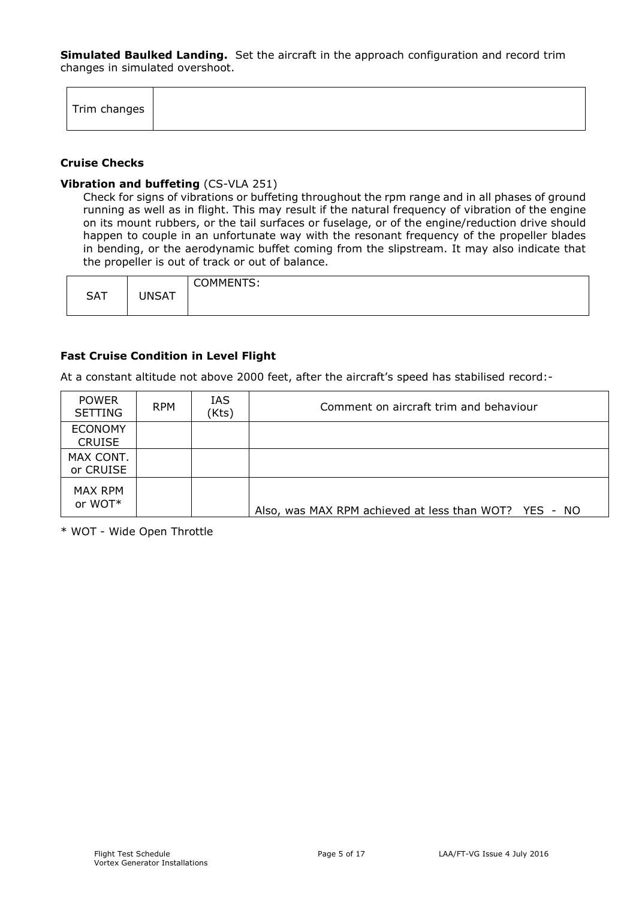**Simulated Baulked Landing.** Set the aircraft in the approach configuration and record trim changes in simulated overshoot.

| Trim changes |
|--------------|
|--------------|

#### **Cruise Checks**

#### **Vibration and buffeting** (CS-VLA 251)

Check for signs of vibrations or buffeting throughout the rpm range and in all phases of ground running as well as in flight. This may result if the natural frequency of vibration of the engine on its mount rubbers, or the tail surfaces or fuselage, or of the engine/reduction drive should happen to couple in an unfortunate way with the resonant frequency of the propeller blades in bending, or the aerodynamic buffet coming from the slipstream. It may also indicate that the propeller is out of track or out of balance.

| <b>SAT</b> | <b>INSAT</b><br>$\mathbf{A}$ | <b>COMMENTS:</b> |
|------------|------------------------------|------------------|
|------------|------------------------------|------------------|

#### **Fast Cruise Condition in Level Flight**

At a constant altitude not above 2000 feet, after the aircraft's speed has stabilised record:-

| <b>POWER</b><br><b>SETTING</b>  | <b>RPM</b> | IAS<br>(Kts) | Comment on aircraft trim and behaviour                |
|---------------------------------|------------|--------------|-------------------------------------------------------|
| <b>ECONOMY</b><br><b>CRUISE</b> |            |              |                                                       |
| MAX CONT.<br>or CRUISE          |            |              |                                                       |
| MAX RPM<br>or WOT*              |            |              | Also, was MAX RPM achieved at less than WOT? YES - NO |

\* WOT - Wide Open Throttle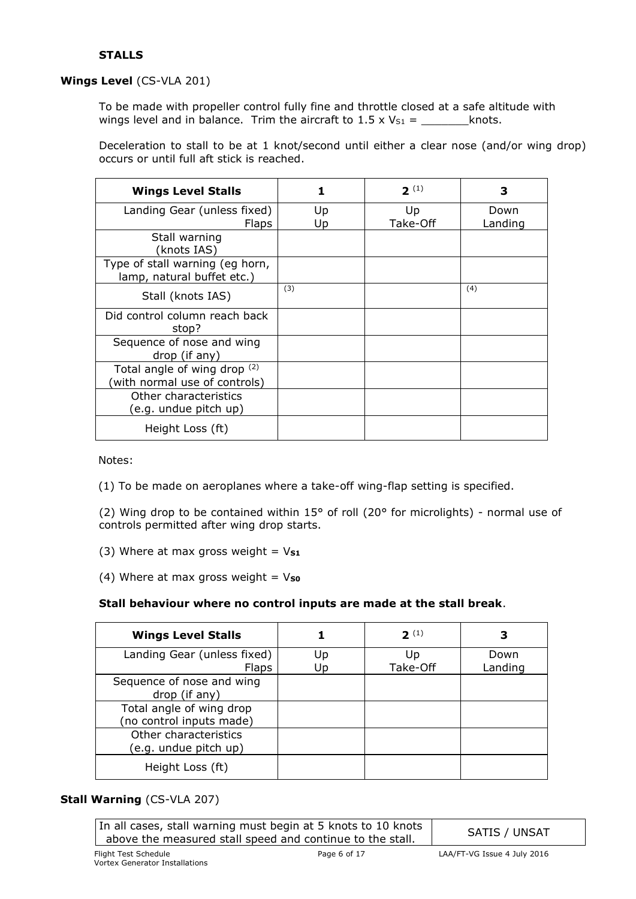## **STALLS**

#### **Wings Level** (CS-VLA 201)

To be made with propeller control fully fine and throttle closed at a safe altitude with wings level and in balance. Trim the aircraft to  $1.5 \times V_{S1} =$  \_\_\_\_\_\_\_\_\_\_\_\_\_knots.

Deceleration to stall to be at 1 knot/second until either a clear nose (and/or wing drop) occurs or until full aft stick is reached.

| <b>Wings Level Stalls</b>                                     | 1        | $2^{(1)}$      | З               |
|---------------------------------------------------------------|----------|----------------|-----------------|
| Landing Gear (unless fixed)<br><b>Flaps</b>                   | Up<br>Up | Up<br>Take-Off | Down<br>Landing |
| Stall warning<br>(knots IAS)                                  |          |                |                 |
| Type of stall warning (eg horn,<br>lamp, natural buffet etc.) |          |                |                 |
| Stall (knots IAS)                                             | (3)      |                | (4)             |
| Did control column reach back<br>stop?                        |          |                |                 |
| Sequence of nose and wing<br>drop (if any)                    |          |                |                 |
| Total angle of wing drop (2)<br>(with normal use of controls) |          |                |                 |
| Other characteristics<br>(e.g. undue pitch up)                |          |                |                 |
| Height Loss (ft)                                              |          |                |                 |

Notes:

(1) To be made on aeroplanes where a take-off wing-flap setting is specified.

(2) Wing drop to be contained within 15° of roll (20° for microlights) - normal use of controls permitted after wing drop starts.

(3) Where at max gross weight =  $V_{S1}$ 

(4) Where at max gross weight  $=$   $V<sub>so</sub>$ 

#### **Stall behaviour where no control inputs are made at the stall break**.

| <b>Wings Level Stalls</b>                            |          | $2^{(1)}$      |                 |
|------------------------------------------------------|----------|----------------|-----------------|
| Landing Gear (unless fixed)<br><b>Flaps</b>          | Up<br>Up | Up<br>Take-Off | Down<br>Landing |
| Sequence of nose and wing<br>drop (if any)           |          |                |                 |
| Total angle of wing drop<br>(no control inputs made) |          |                |                 |
| Other characteristics<br>(e.g. undue pitch up)       |          |                |                 |
| Height Loss (ft)                                     |          |                |                 |

#### **Stall Warning** (CS-VLA 207)

In all cases, stall warning must begin at 5 knots to 10 knots above the measured stall speed and continue to the stall. SATIS / UNSAT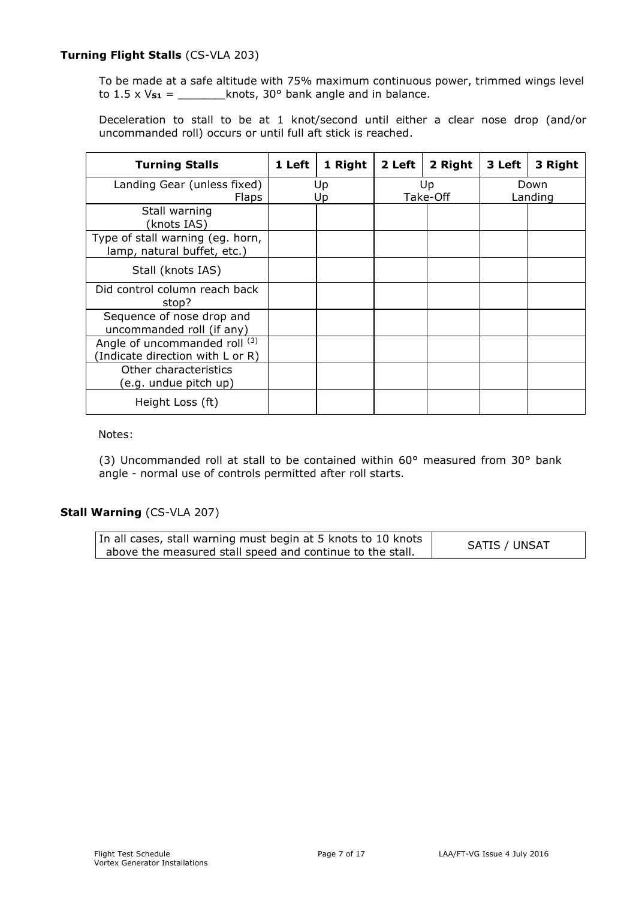#### **Turning Flight Stalls** (CS-VLA 203)

To be made at a safe altitude with 75% maximum continuous power, trimmed wings level to 1.5 x V**S1** = \_\_\_\_\_\_\_knots, 30° bank angle and in balance.

Deceleration to stall to be at 1 knot/second until either a clear nose drop (and/or uncommanded roll) occurs or until full aft stick is reached.

| <b>Turning Stalls</b>                                            | 1 Left | 1 Right  | 2 Left | 2 Right        | 3 Left | 3 Right         |
|------------------------------------------------------------------|--------|----------|--------|----------------|--------|-----------------|
| Landing Gear (unless fixed)<br><b>Flaps</b>                      |        | Up<br>Up |        | Up<br>Take-Off |        | Down<br>Landing |
| Stall warning<br>(knots IAS)                                     |        |          |        |                |        |                 |
| Type of stall warning (eg. horn,<br>lamp, natural buffet, etc.)  |        |          |        |                |        |                 |
| Stall (knots IAS)                                                |        |          |        |                |        |                 |
| Did control column reach back<br>stop?                           |        |          |        |                |        |                 |
| Sequence of nose drop and<br>uncommanded roll (if any)           |        |          |        |                |        |                 |
| Angle of uncommanded roll (3)<br>Indicate direction with L or R) |        |          |        |                |        |                 |
| Other characteristics<br>(e.g. undue pitch up)                   |        |          |        |                |        |                 |
| Height Loss (ft)                                                 |        |          |        |                |        |                 |

#### Notes:

(3) Uncommanded roll at stall to be contained within 60° measured from 30° bank angle - normal use of controls permitted after roll starts.

## **Stall Warning** (CS-VLA 207)

In all cases, stall warning must begin at 5 knots to 10 knots n an cases, stall warning must begin at 5 knots to 10 knots<br>above the measured stall speed and continue to the stall.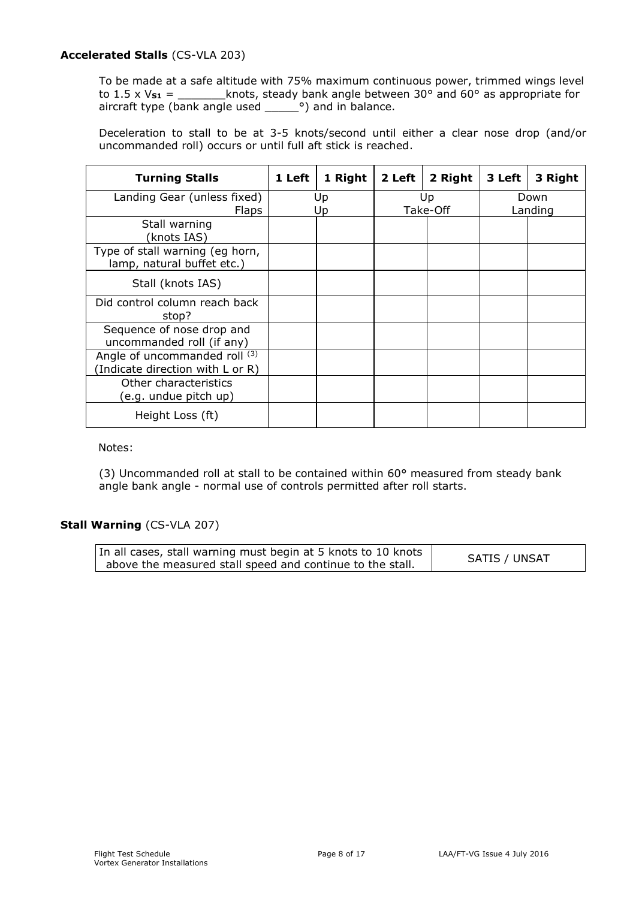### **Accelerated Stalls** (CS-VLA 203)

To be made at a safe altitude with 75% maximum continuous power, trimmed wings level to 1.5 x  $V_{s1}$  = \_\_\_\_\_\_\_\_knots, steady bank angle between 30 $^{\circ}$  and 60 $^{\circ}$  as appropriate for aircraft type (bank angle used  $\qquad$   $\circ$ ) and in balance.

Deceleration to stall to be at 3-5 knots/second until either a clear nose drop (and/or uncommanded roll) occurs or until full aft stick is reached.

| <b>Turning Stalls</b>                                            | 1 Left | 1 Right  | 2 Left | 2 Right        | 3 Left | 3 Right         |
|------------------------------------------------------------------|--------|----------|--------|----------------|--------|-----------------|
| Landing Gear (unless fixed)<br><b>Flaps</b>                      |        | Up<br>Up |        | Up<br>Take-Off |        | Down<br>Landing |
| Stall warning<br>knots IAS)                                      |        |          |        |                |        |                 |
| Type of stall warning (eg horn,<br>lamp, natural buffet etc.)    |        |          |        |                |        |                 |
| Stall (knots IAS)                                                |        |          |        |                |        |                 |
| Did control column reach back<br>stop?                           |        |          |        |                |        |                 |
| Sequence of nose drop and<br>uncommanded roll (if any)           |        |          |        |                |        |                 |
| Angle of uncommanded roll (3)<br>Indicate direction with L or R) |        |          |        |                |        |                 |
| Other characteristics<br>(e.g. undue pitch up)                   |        |          |        |                |        |                 |
| Height Loss (ft)                                                 |        |          |        |                |        |                 |

Notes:

(3) Uncommanded roll at stall to be contained within 60° measured from steady bank angle bank angle - normal use of controls permitted after roll starts.

#### **Stall Warning** (CS-VLA 207)

| In all cases, stall warning must begin at 5 knots to 10 knots | <b>SATIS / UNSAT</b> |
|---------------------------------------------------------------|----------------------|
| above the measured stall speed and continue to the stall.     |                      |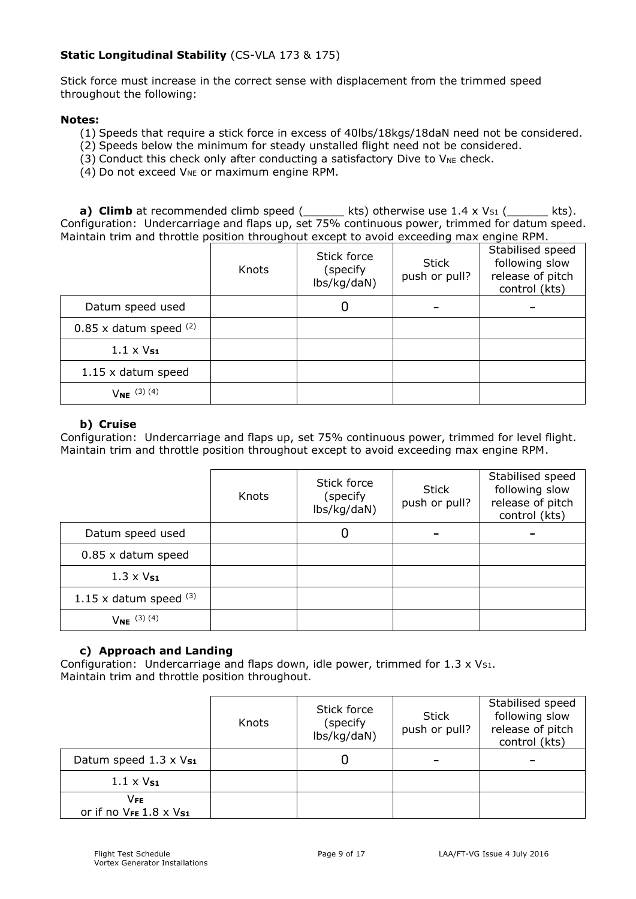## **Static Longitudinal Stability** (CS-VLA 173 & 175)

Stick force must increase in the correct sense with displacement from the trimmed speed throughout the following:

#### **Notes:**

- (1) Speeds that require a stick force in excess of 40lbs/18kgs/18daN need not be considered.
- (2) Speeds below the minimum for steady unstalled flight need not be considered.
- (3) Conduct this check only after conducting a satisfactory Dive to  $V_{NE}$  check.
- $(4)$  Do not exceed  $V_{NE}$  or maximum engine RPM.

**a) Climb** at recommended climb speed  $($ \_\_\_\_\_ kts) otherwise use  $1.4 \times V_{S1}$   $($  \_\_\_\_\_ kts). Configuration: Undercarriage and flaps up, set 75% continuous power, trimmed for datum speed. Maintain trim and throttle position throughout except to avoid exceeding max engine RPM.

|                            | Knots | Stick force<br>(specify)<br>lbs/kg/daN) | <b>Stick</b><br>push or pull? | Stabilised speed<br>following slow<br>release of pitch<br>control (kts) |
|----------------------------|-------|-----------------------------------------|-------------------------------|-------------------------------------------------------------------------|
| Datum speed used           |       | U                                       |                               |                                                                         |
| $0.85$ x datum speed $(2)$ |       |                                         |                               |                                                                         |
| $1.1 \times V_{S1}$        |       |                                         |                               |                                                                         |
| 1.15 x datum speed         |       |                                         |                               |                                                                         |
| $V_{NE}$ (3) (4)           |       |                                         |                               |                                                                         |

#### **b) Cruise**

Configuration: Undercarriage and flaps up, set 75% continuous power, trimmed for level flight. Maintain trim and throttle position throughout except to avoid exceeding max engine RPM.

|                          | Knots | Stick force<br>(specify)<br>lbs/kg/daN) | Stick<br>push or pull? | Stabilised speed<br>following slow<br>release of pitch<br>control (kts) |
|--------------------------|-------|-----------------------------------------|------------------------|-------------------------------------------------------------------------|
| Datum speed used         |       | Ü                                       |                        |                                                                         |
| $0.85$ x datum speed     |       |                                         |                        |                                                                         |
| $1.3 \times V_{S1}$      |       |                                         |                        |                                                                         |
| 1.15 x datum speed $(3)$ |       |                                         |                        |                                                                         |
| $V_{NE}$ (3) (4)         |       |                                         |                        |                                                                         |

#### **c) Approach and Landing**

Configuration: Undercarriage and flaps down, idle power, trimmed for  $1.3 \times V_{S1}$ . Maintain trim and throttle position throughout.

|                                 | Knots | Stick force<br>(specify<br>lbs/kg/daN) | <b>Stick</b><br>push or pull? | Stabilised speed<br>following slow<br>release of pitch<br>control (kts) |
|---------------------------------|-------|----------------------------------------|-------------------------------|-------------------------------------------------------------------------|
| Datum speed $1.3 \times V_{S1}$ |       |                                        |                               |                                                                         |
| $1.1 \times V_{S1}$             |       |                                        |                               |                                                                         |
| Vfe<br>or if no VFE 1.8 x Vs1   |       |                                        |                               |                                                                         |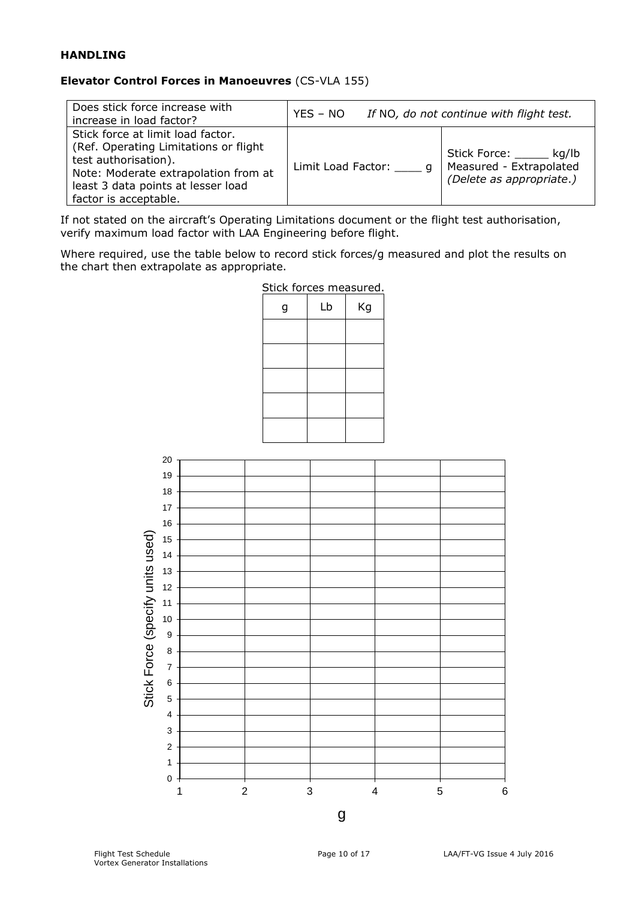## **HANDLING**

## **Elevator Control Forces in Manoeuvres** (CS-VLA 155)

| Does stick force increase with<br>increase in load factor?                                                                                                                                                 | $YES - NO$           | If NO, do not continue with flight test.                                  |
|------------------------------------------------------------------------------------------------------------------------------------------------------------------------------------------------------------|----------------------|---------------------------------------------------------------------------|
| Stick force at limit load factor.<br>(Ref. Operating Limitations or flight)<br>test authorisation).<br>Note: Moderate extrapolation from at<br>least 3 data points at lesser load<br>factor is acceptable. | Limit Load Factor: q | Stick Force: kg/lb<br>Measured - Extrapolated<br>(Delete as appropriate.) |

If not stated on the aircraft's Operating Limitations document or the flight test authorisation, verify maximum load factor with LAA Engineering before flight.

Where required, use the table below to record stick forces/g measured and plot the results on the chart then extrapolate as appropriate.



Stick forces measured.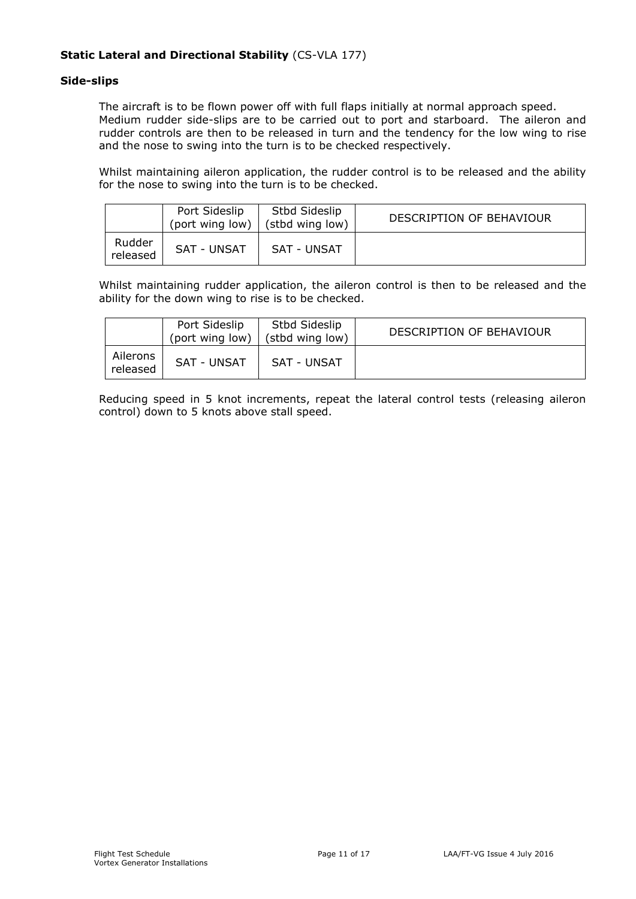## **Static Lateral and Directional Stability** (CS-VLA 177)

#### **Side-slips**

The aircraft is to be flown power off with full flaps initially at normal approach speed. Medium rudder side-slips are to be carried out to port and starboard. The aileron and rudder controls are then to be released in turn and the tendency for the low wing to rise and the nose to swing into the turn is to be checked respectively.

Whilst maintaining aileron application, the rudder control is to be released and the ability for the nose to swing into the turn is to be checked.

|                    | Port Sideslip<br>(port wing low) | Stbd Sideslip<br>(stbd wing low) | DESCRIPTION OF BEHAVIOUR |
|--------------------|----------------------------------|----------------------------------|--------------------------|
| Rudder<br>released | SAT - UNSAT                      | SAT - UNSAT                      |                          |

Whilst maintaining rudder application, the aileron control is then to be released and the ability for the down wing to rise is to be checked.

|                      | Port Sideslip<br>(port wing low) | Stbd Sideslip<br>(stbd wing low) | DESCRIPTION OF BEHAVIOUR |
|----------------------|----------------------------------|----------------------------------|--------------------------|
| Ailerons<br>released | <b>SAT - UNSAT</b>               | SAT - UNSAT                      |                          |

Reducing speed in 5 knot increments, repeat the lateral control tests (releasing aileron control) down to 5 knots above stall speed.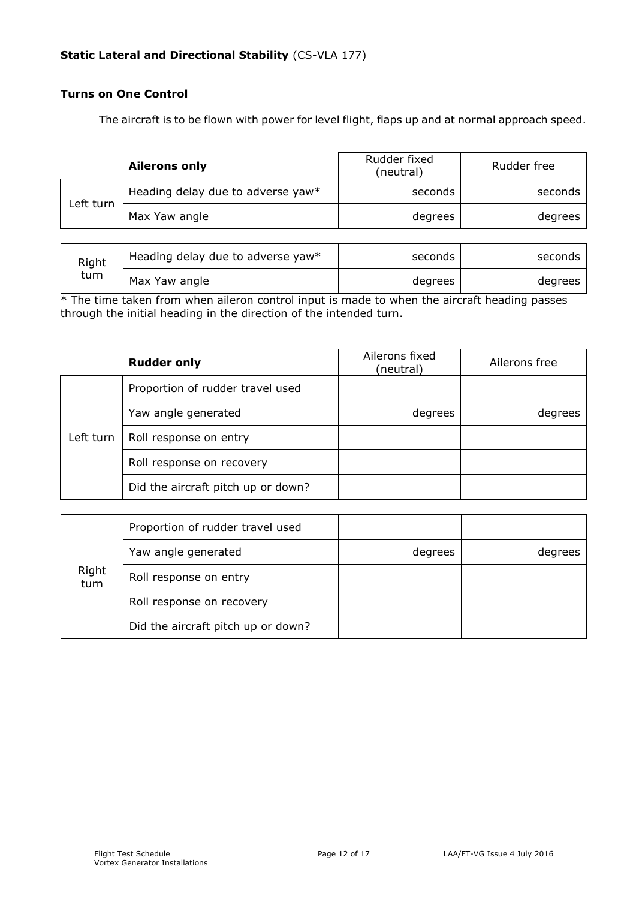#### **Turns on One Control**

The aircraft is to be flown with power for level flight, flaps up and at normal approach speed.

|           | <b>Ailerons only</b>              | Rudder fixed<br>(neutral) | Rudder free |
|-----------|-----------------------------------|---------------------------|-------------|
| Left turn | Heading delay due to adverse yaw* | seconds                   | seconds     |
|           | Max Yaw angle                     | degrees                   | degrees     |

| Right<br>turn | Heading delay due to adverse yaw* | seconds | seconds |
|---------------|-----------------------------------|---------|---------|
|               | Max Yaw angle                     | degrees | degrees |

 $*$  The time taken from when aileron control input is made to when the aircraft heading passes through the initial heading in the direction of the intended turn.

|           | <b>Rudder only</b>                 | Ailerons fixed<br>(neutral) | Ailerons free |
|-----------|------------------------------------|-----------------------------|---------------|
|           | Proportion of rudder travel used   |                             |               |
|           | Yaw angle generated                | degrees                     | degrees       |
| Left turn | Roll response on entry             |                             |               |
|           | Roll response on recovery          |                             |               |
|           | Did the aircraft pitch up or down? |                             |               |

| Right<br>turn | Proportion of rudder travel used   |         |         |
|---------------|------------------------------------|---------|---------|
|               | Yaw angle generated                | degrees | degrees |
|               | Roll response on entry             |         |         |
|               | Roll response on recovery          |         |         |
|               | Did the aircraft pitch up or down? |         |         |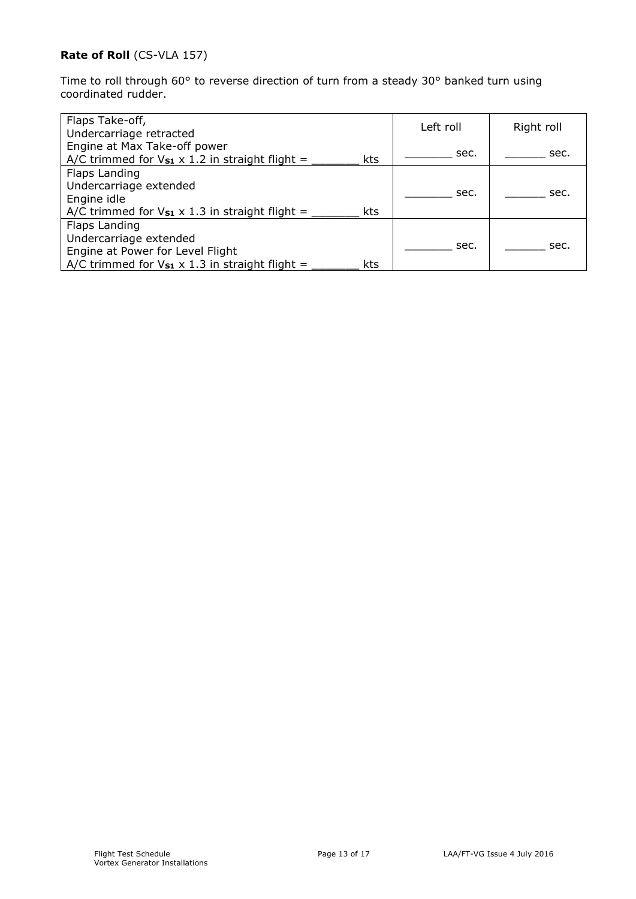# **Rate of Roll** (CS-VLA 157)

Time to roll through 60° to reverse direction of turn from a steady 30° banked turn using coordinated rudder.

| Flaps Take-off,<br>Undercarriage retracted                                                                                                     | Left roll | Right roll |
|------------------------------------------------------------------------------------------------------------------------------------------------|-----------|------------|
| Engine at Max Take-off power<br>A/C trimmed for $V_{s1} \times 1.2$ in straight flight =<br><b>kts</b>                                         | sec.      | sec.       |
| Flaps Landing<br>Undercarriage extended<br>Engine idle<br>A/C trimmed for $V_{s1} \times 1.3$ in straight flight =<br>kts                      | sec.      | sec.       |
| Flaps Landing<br>Undercarriage extended<br>Engine at Power for Level Flight<br>A/C trimmed for $V_{s1} \times 1.3$ in straight flight =<br>kts | sec.      | sec.       |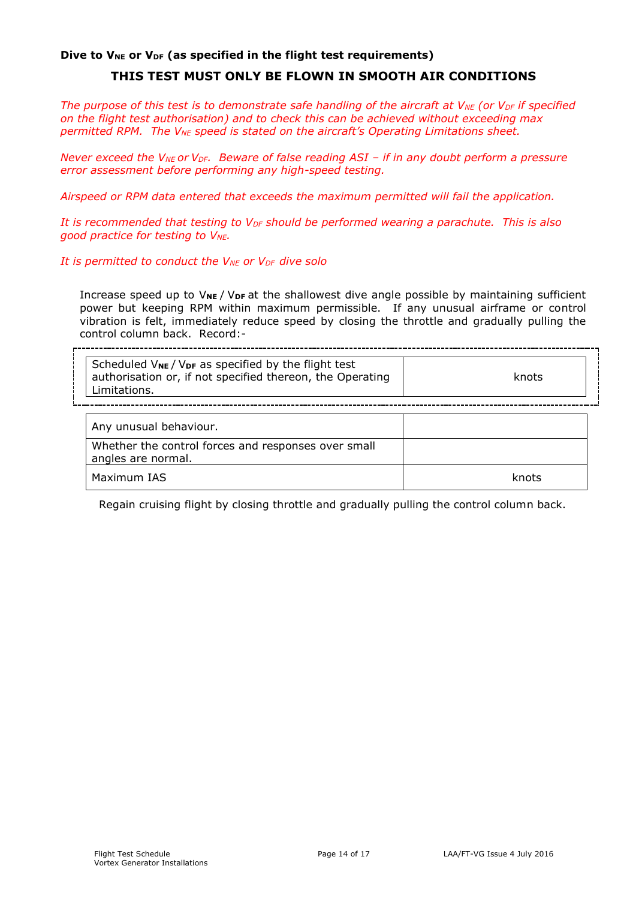#### Dive to V<sub>NE</sub> or V<sub>DF</sub> (as specified in the flight test requirements)

# **THIS TEST MUST ONLY BE FLOWN IN SMOOTH AIR CONDITIONS**

*The purpose of this test is to demonstrate safe handling of the aircraft at VNE (or VDF if specified on the flight test authorisation) and to check this can be achieved without exceeding max permitted RPM. The VNE speed is stated on the aircraft's Operating Limitations sheet.*

*Never exceed the V<sub>NE</sub>* or *V<sub>DF</sub>*. Beware of false reading ASI – if in any doubt perform a pressure *error assessment before performing any high-speed testing.*

*Airspeed or RPM data entered that exceeds the maximum permitted will fail the application.*

*It is recommended that testing to VDF should be performed wearing a parachute. This is also good practice for testing to VNE.*

*It is permitted to conduct the VNE or VDF dive solo*

Increase speed up to  $V_{NE}$  /  $V_{DF}$  at the shallowest dive angle possible by maintaining sufficient power but keeping RPM within maximum permissible. If any unusual airframe or control vibration is felt, immediately reduce speed by closing the throttle and gradually pulling the control column back. Record:-

| Scheduled V <sub>NE</sub> / V <sub>DF</sub> as specified by the flight test<br>authorisation or, if not specified thereon, the Operating<br>Limitations. | knots |
|----------------------------------------------------------------------------------------------------------------------------------------------------------|-------|
| Any unusual behaviour.                                                                                                                                   |       |
| Whether the control forces and responses over small<br>angles are normal.                                                                                |       |
| Maximum IAS                                                                                                                                              |       |

Regain cruising flight by closing throttle and gradually pulling the control column back.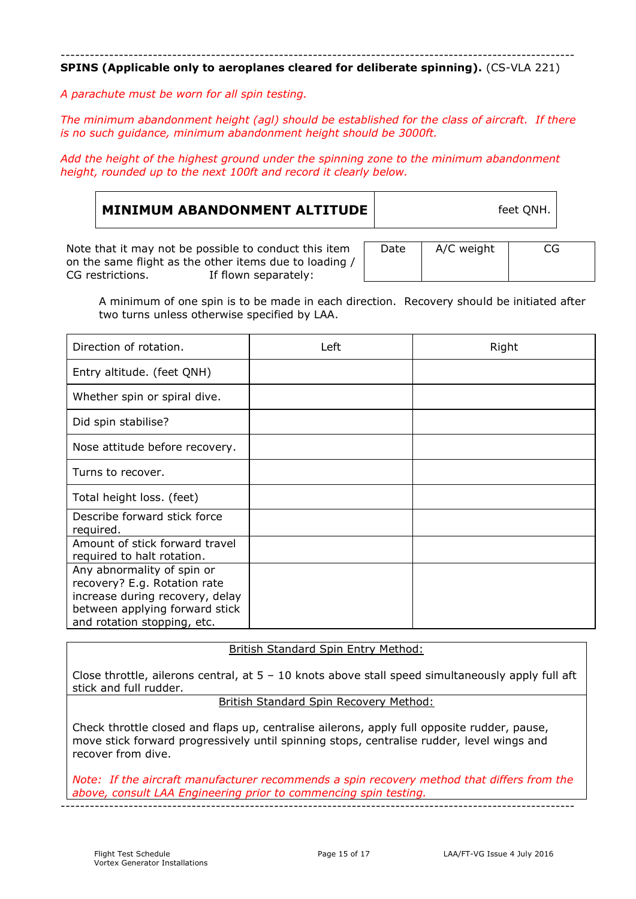---------------------------------------------------------------------------------------------------------- **SPINS (Applicable only to aeroplanes cleared for deliberate spinning).** (CS-VLA 221)

*A parachute must be worn for all spin testing.*

*The minimum abandonment height (agl) should be established for the class of aircraft. If there is no such guidance, minimum abandonment height should be 3000ft.*

*Add the height of the highest ground under the spinning zone to the minimum abandonment height, rounded up to the next 100ft and record it clearly below.*

| MINIMUM ABANDONMENT ALTITUDE | feet QNH. |  |
|------------------------------|-----------|--|
|                              |           |  |

Note that it may not be possible to conduct this item on the same flight as the other items due to loading / CG restrictions. If flown separately: If flown separately:

| Date | A/C weight | CG |
|------|------------|----|
|      |            |    |

A minimum of one spin is to be made in each direction. Recovery should be initiated after two turns unless otherwise specified by LAA.

| Direction of rotation.                                                                                                                                         | Left | Right |
|----------------------------------------------------------------------------------------------------------------------------------------------------------------|------|-------|
| Entry altitude. (feet QNH)                                                                                                                                     |      |       |
| Whether spin or spiral dive.                                                                                                                                   |      |       |
| Did spin stabilise?                                                                                                                                            |      |       |
| Nose attitude before recovery.                                                                                                                                 |      |       |
| Turns to recover.                                                                                                                                              |      |       |
| Total height loss. (feet)                                                                                                                                      |      |       |
| Describe forward stick force<br>required.                                                                                                                      |      |       |
| Amount of stick forward travel<br>required to halt rotation.                                                                                                   |      |       |
| Any abnormality of spin or<br>recovery? E.g. Rotation rate<br>increase during recovery, delay<br>between applying forward stick<br>and rotation stopping, etc. |      |       |

British Standard Spin Entry Method:

Close throttle, ailerons central, at 5 – 10 knots above stall speed simultaneously apply full aft stick and full rudder.

British Standard Spin Recovery Method:

Check throttle closed and flaps up, centralise ailerons, apply full opposite rudder, pause, move stick forward progressively until spinning stops, centralise rudder, level wings and recover from dive.

*Note: If the aircraft manufacturer recommends a spin recovery method that differs from the above, consult LAA Engineering prior to commencing spin testing.*

----------------------------------------------------------------------------------------------------------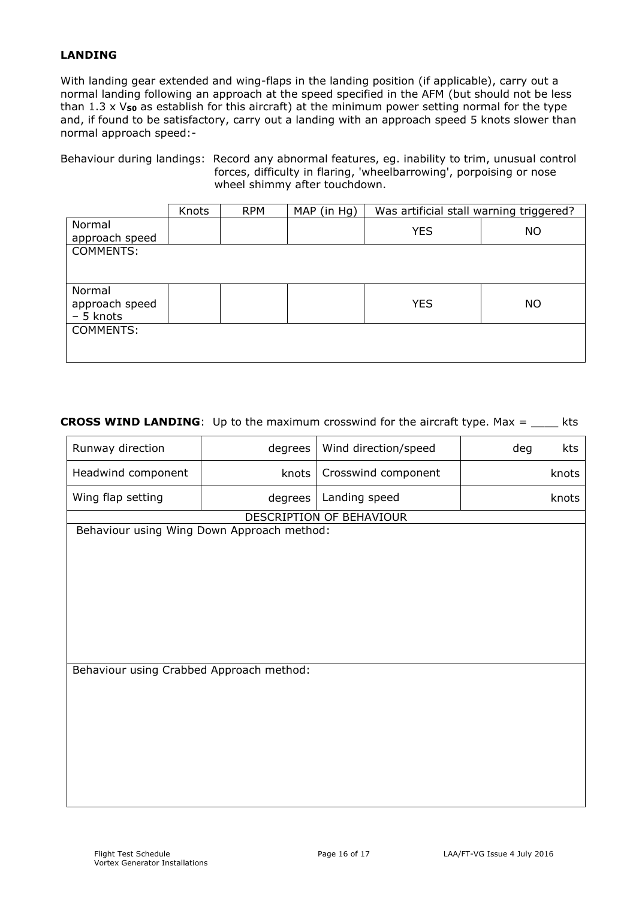## **LANDING**

With landing gear extended and wing-flaps in the landing position (if applicable), carry out a normal landing following an approach at the speed specified in the AFM (but should not be less than 1.3 x Vso as establish for this aircraft) at the minimum power setting normal for the type and, if found to be satisfactory, carry out a landing with an approach speed 5 knots slower than normal approach speed:-

Behaviour during landings: Record any abnormal features, eg. inability to trim, unusual control forces, difficulty in flaring, 'wheelbarrowing', porpoising or nose wheel shimmy after touchdown.

|                  | Knots | <b>RPM</b> | MAP (in Hg) | Was artificial stall warning triggered? |           |
|------------------|-------|------------|-------------|-----------------------------------------|-----------|
| Normal           |       |            |             | <b>YES</b>                              | <b>NO</b> |
| approach speed   |       |            |             |                                         |           |
| COMMENTS:        |       |            |             |                                         |           |
|                  |       |            |             |                                         |           |
|                  |       |            |             |                                         |           |
| Normal           |       |            |             |                                         |           |
| approach speed   |       |            |             | <b>YES</b>                              | NO        |
| - 5 knots        |       |            |             |                                         |           |
| <b>COMMENTS:</b> |       |            |             |                                         |           |
|                  |       |            |             |                                         |           |
|                  |       |            |             |                                         |           |

#### **CROSS WIND LANDING**: Up to the maximum crosswind for the aircraft type. Max = \_\_\_\_ kts

| Runway direction                           | degrees | Wind direction/speed     | deg<br>kts |
|--------------------------------------------|---------|--------------------------|------------|
| Headwind component                         | knots   | Crosswind component      | knots      |
| Wing flap setting                          | degrees | Landing speed            | knots      |
|                                            |         | DESCRIPTION OF BEHAVIOUR |            |
| Behaviour using Wing Down Approach method: |         |                          |            |
|                                            |         |                          |            |
|                                            |         |                          |            |
|                                            |         |                          |            |
|                                            |         |                          |            |
|                                            |         |                          |            |
|                                            |         |                          |            |
| Behaviour using Crabbed Approach method:   |         |                          |            |
|                                            |         |                          |            |
|                                            |         |                          |            |
|                                            |         |                          |            |
|                                            |         |                          |            |
|                                            |         |                          |            |
|                                            |         |                          |            |
|                                            |         |                          |            |